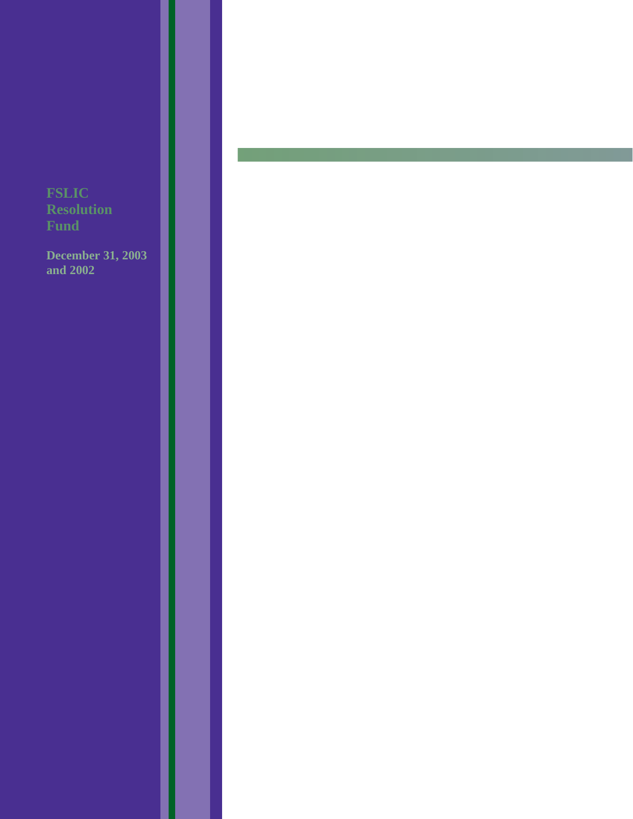**December 31, 2003 and 2002**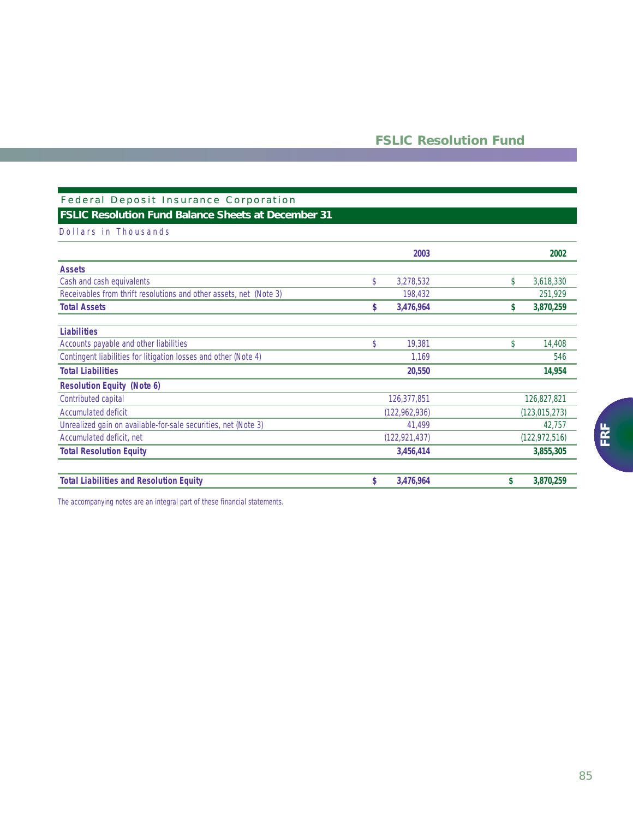## Federal Deposit Insurance Corporation **FSLIC Resolution Fund Balance Sheets at December 31**

### Dollars in Thousands

|                                                                    | 2003            | 2002                    |
|--------------------------------------------------------------------|-----------------|-------------------------|
| <b>Assets</b>                                                      |                 |                         |
| Cash and cash equivalents                                          | \$<br>3,278,532 | \$<br>3,618,330         |
| Receivables from thrift resolutions and other assets, net (Note 3) | 198,432         | 251,929                 |
| <b>Total Assets</b>                                                | 3,476,964<br>\$ | 3,870,259<br>s          |
| <b>Liabilities</b>                                                 |                 |                         |
| Accounts payable and other liabilities                             | \$<br>19,381    | $\mathsf{\$}$<br>14,408 |
| Contingent liabilities for litigation losses and other (Note 4)    | 1,169           | 546                     |
| <b>Total Liabilities</b>                                           | 20,550          | 14,954                  |
| <b>Resolution Equity (Note 6)</b>                                  |                 |                         |
| Contributed capital                                                | 126,377,851     | 126,827,821             |
| Accumulated deficit                                                | (122, 962, 936) | (123, 015, 273)         |
| Unrealized gain on available-for-sale securities, net (Note 3)     | 41,499          | 42,757                  |
| Accumulated deficit, net                                           | (122, 921, 437) | (122, 972, 516)         |
| <b>Total Resolution Equity</b>                                     | 3,456,414       | 3,855,305               |
| <b>Total Liabilities and Resolution Equity</b>                     | \$<br>3,476,964 | \$<br>3,870,259         |

*The accompanying notes are an integral part of these financial statements.*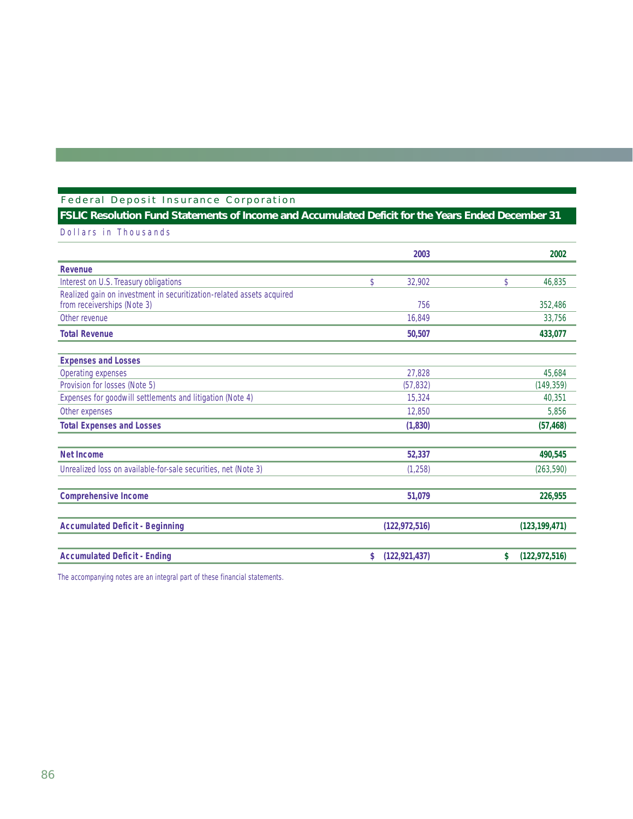# Federal Deposit Insurance Corporation

## **FSLIC Resolution Fund Statements of Income and Accumulated Deficit for the Years Ended December 31**

Dollars in Thousands

|                                                                                                      | 2003                  | 2002                  |
|------------------------------------------------------------------------------------------------------|-----------------------|-----------------------|
| Revenue                                                                                              |                       |                       |
| Interest on U.S. Treasury obligations                                                                | \$<br>32,902          | \$<br>46,835          |
| Realized gain on investment in securitization-related assets acquired<br>from receiverships (Note 3) | 756                   | 352,486               |
| Other revenue                                                                                        | 16.849                | 33,756                |
| <b>Total Revenue</b>                                                                                 | 50,507                | 433,077               |
| <b>Expenses and Losses</b>                                                                           |                       |                       |
| Operating expenses                                                                                   | 27,828                | 45,684                |
| Provision for losses (Note 5)                                                                        | (57, 832)             | (149, 359)            |
| Expenses for goodwill settlements and litigation (Note 4)                                            | 15,324                | 40,351                |
| Other expenses                                                                                       | 12,850                | 5,856                 |
| <b>Total Expenses and Losses</b>                                                                     | (1,830)               | (57, 468)             |
| <b>Net Income</b>                                                                                    | 52,337                | 490,545               |
| Unrealized loss on available-for-sale securities, net (Note 3)                                       | (1,258)               | (263, 590)            |
| <b>Comprehensive Income</b>                                                                          | 51,079                | 226,955               |
| <b>Accumulated Deficit - Beginning</b>                                                               | (122, 972, 516)       | (123, 199, 471)       |
| <b>Accumulated Deficit - Ending</b>                                                                  | (122, 921, 437)<br>\$ | (122, 972, 516)<br>\$ |

*The accompanying notes are an integral part of these financial statements.*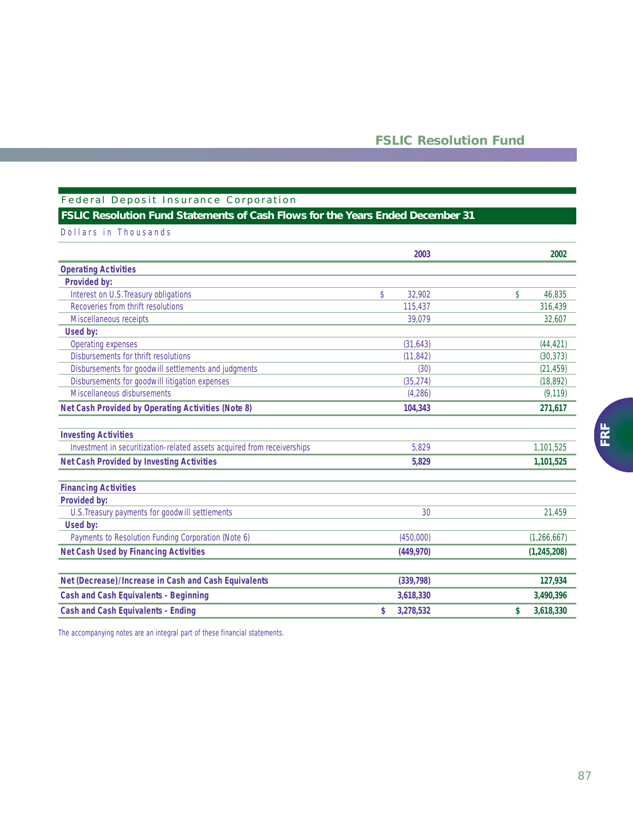## Federal Deposit Insurance Corporation **FSLIC Resolution Fund Statements of Cash Flows for the Years Ended December 31**

| Dollars in Thousands                                                    |                         |                 |
|-------------------------------------------------------------------------|-------------------------|-----------------|
|                                                                         | 2003                    | 2002            |
| <b>Operating Activities</b>                                             |                         |                 |
| <b>Provided by:</b>                                                     |                         |                 |
| Interest on U.S. Treasury obligations                                   | $\mathsf{\$}$<br>32,902 | 46,835<br>\$    |
| Recoveries from thrift resolutions                                      | 115.437                 | 316.439         |
| Miscellaneous receipts                                                  | 39,079                  | 32,607          |
| Used by:                                                                |                         |                 |
| Operating expenses                                                      | (31, 643)               | (44, 421)       |
| Disbursements for thrift resolutions                                    | (11, 842)               | (30, 373)       |
| Disbursements for goodwill settlements and judgments                    | (30)                    | (21, 459)       |
| Disbursements for goodwill litigation expenses                          | (35, 274)               | (18, 892)       |
| Miscellaneous disbursements                                             | (4,286)                 | (9, 119)        |
| <b>Net Cash Provided by Operating Activities (Note 8)</b>               | 104,343                 | 271,617         |
| <b>Investing Activities</b>                                             |                         |                 |
| Investment in securitization-related assets acquired from receiverships | 5.829                   | 1,101,525       |
| <b>Net Cash Provided by Investing Activities</b>                        | 5,829                   | 1,101,525       |
| <b>Financing Activities</b>                                             |                         |                 |
| <b>Provided by:</b>                                                     |                         |                 |
| U.S. Treasury payments for goodwill settlements                         | 30                      | 21,459          |
| Used by:                                                                |                         |                 |
| Payments to Resolution Funding Corporation (Note 6)                     | (450,000)               | (1,266,667)     |
| <b>Net Cash Used by Financing Activities</b>                            | (449, 970)              | (1, 245, 208)   |
| Net (Decrease)/Increase in Cash and Cash Equivalents                    | (339, 798)              | 127,934         |
| <b>Cash and Cash Equivalents - Beginning</b>                            | 3,618,330               | 3,490,396       |
|                                                                         |                         |                 |
| <b>Cash and Cash Equivalents - Ending</b>                               | 3,278,532<br>\$         | 3,618,330<br>\$ |

*The accompanying notes are an integral part of these financial statements.*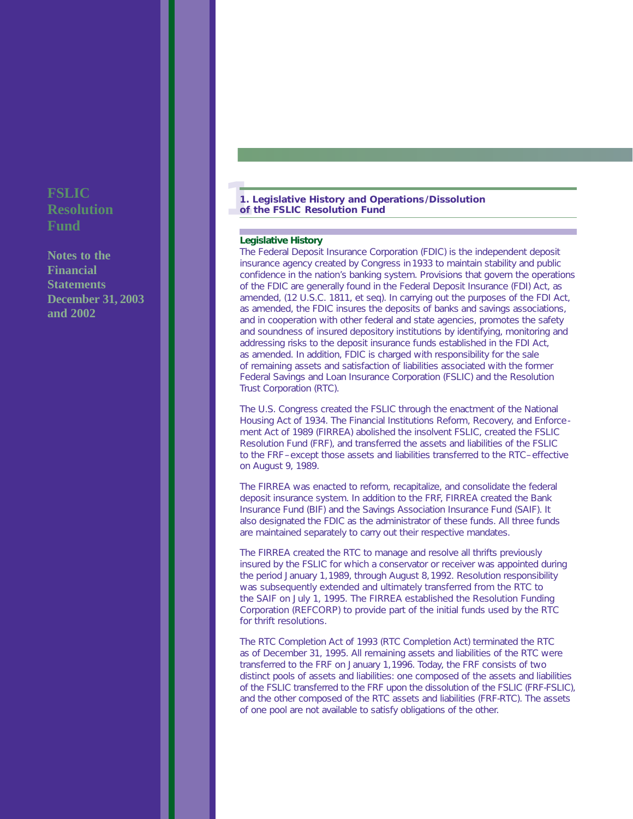**Notes to the Financial Statements December 31, 2003 and 2002**

### **11. Legislative History and Operations/Dissolution of the FSLIC Resolution Fund**

### **Legislative History**

The Federal Deposit Insurance Corporation (FDIC) is the independent deposit insurance agency created by Congress in1933 to maintain stability and public confidence in the nation's banking system. Provisions that govern the operations of the FDIC are generally found in the Federal Deposit Insurance (FDI) Act, as amended, (12 U.S.C. 1811, *et seq*). In carrying out the purposes of the FDI Act, as amended, the FDIC insures the deposits of banks and savings associations, and in cooperation with other federal and state agencies, promotes the safety and soundness of insured depository institutions by identifying, monitoring and addressing risks to the deposit insurance funds established in the FDI Act, as amended. In addition, FDIC is charged with responsibility for the sale of remaining assets and satisfaction of liabilities associated with the former Federal Savings and Loan Insurance Corporation (FSLIC) and the Resolution Trust Corporation (RTC).

The U.S. Congress created the FSLIC through the enactment of the National Housing Act of 1934. The Financial Institutions Reform, Recovery, and Enforcement Act of 1989 (FIRREA) abolished the insolvent FSLIC, created the FSLIC Resolution Fund (FRF), and transferred the assets and liabilities of the FSLIC to the FRF–except those assets and liabilities transferred to the RTC–effective on August 9, 1989.

The FIRREA was enacted to reform, recapitalize, and consolidate the federal deposit insurance system. In addition to the FRF, FIRREA created the Bank Insurance Fund (BIF) and the Savings Association Insurance Fund (SAIF). It also designated the FDIC as the administrator of these funds. All three funds are maintained separately to carry out their respective mandates.

The FIRREA created the RTC to manage and resolve all thrifts previously insured by the FSLIC for which a conservator or receiver was appointed during the period January 1,1989, through August 8,1992. Resolution responsibility was subsequently extended and ultimately transferred from the RTC to the SAIF on July 1, 1995. The FIRREA established the Resolution Funding Corporation (REFCORP) to provide part of the initial funds used by the RTC for thrift resolutions.

The RTC Completion Act of 1993 (RTC Completion Act) terminated the RTC as of December 31, 1995. All remaining assets and liabilities of the RTC were transferred to the FRF on January 1,1996. Today, the FRF consists of two distinct pools of assets and liabilities: one composed of the assets and liabilities of the FSLIC transferred to the FRF upon the dissolution of the FSLIC (FRF-FSLIC), and the other composed of the RTC assets and liabilities (FRF-RTC). The assets of one pool are not available to satisfy obligations of the other.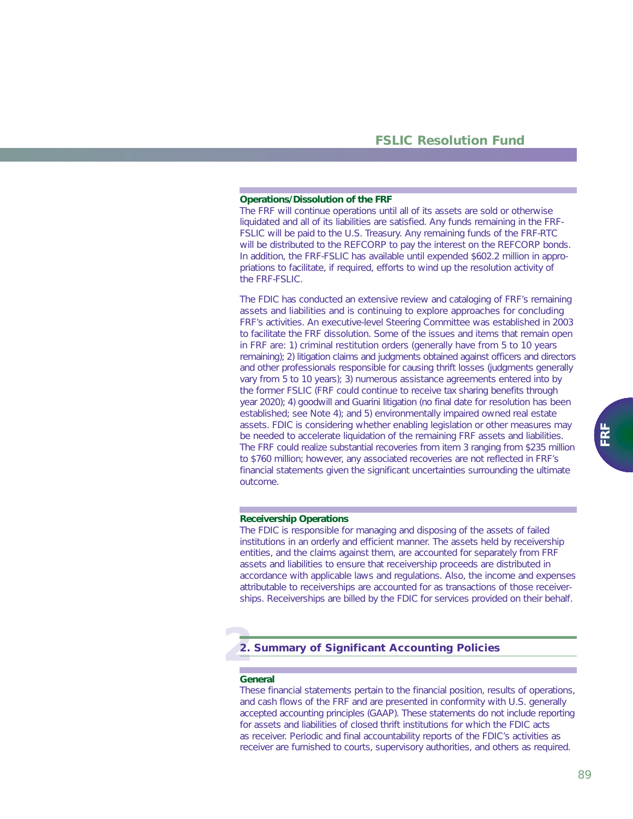#### **Operations/Dissolution of the FRF**

The FRF will continue operations until all of its assets are sold or otherwise liquidated and all of its liabilities are satisfied. Any funds remaining in the FRF-FSLIC will be paid to the U.S. Treasury. Any remaining funds of the FRF-RTC will be distributed to the REFCORP to pay the interest on the REFCORP bonds. In addition, the FRF-FSLIC has available until expended \$602.2 million in appropriations to facilitate, if required, efforts to wind up the resolution activity of the FRF-FSLIC.

The FDIC has conducted an extensive review and cataloging of FRF's remaining assets and liabilities and is continuing to explore approaches for concluding FRF's activities. An executive-level Steering Committee was established in 2003 to facilitate the FRF dissolution. Some of the issues and items that remain open in FRF are: 1) criminal restitution orders (generally have from 5 to 10 years remaining); 2) litigation claims and judgments obtained against officers and directors and other professionals responsible for causing thrift losses (judgments generally vary from 5 to 10 years); 3) numerous assistance agreements entered into by the former FSLIC (FRF could continue to receive tax sharing benefits through year 2020); 4) goodwill and Guarini litigation (no final date for resolution has been established; see Note 4); and 5) environmentally impaired owned real estate assets. FDIC is considering whether enabling legislation or other measures may be needed to accelerate liquidation of the remaining FRF assets and liabilities. The FRF could realize substantial recoveries from item 3 ranging from \$235 million to \$760 million; however, any associated recoveries are not reflected in FRF's financial statements given the significant uncertainties surrounding the ultimate outcome.

### **Receivership Operations**

The FDIC is responsible for managing and disposing of the assets of failed institutions in an orderly and efficient manner. The assets held by receivership entities, and the claims against them, are accounted for separately from FRF assets and liabilities to ensure that receivership proceeds are distributed in accordance with applicable laws and regulations. Also, the income and expenses attributable to receiverships are accounted for as transactions of those receiverships. Receiverships are billed by the FDIC for services provided on their behalf.

# **2 2. Summary of Significant Accounting Policies**

### **General**

These financial statements pertain to the financial position, results of operations, and cash flows of the FRF and are presented in conformity with U.S. generally accepted accounting principles (GAAP). These statements do not include reporting for assets and liabilities of closed thrift institutions for which the FDIC acts as receiver. Periodic and final accountability reports of the FDIC's activities as receiver are furnished to courts, supervisory authorities, and others as required.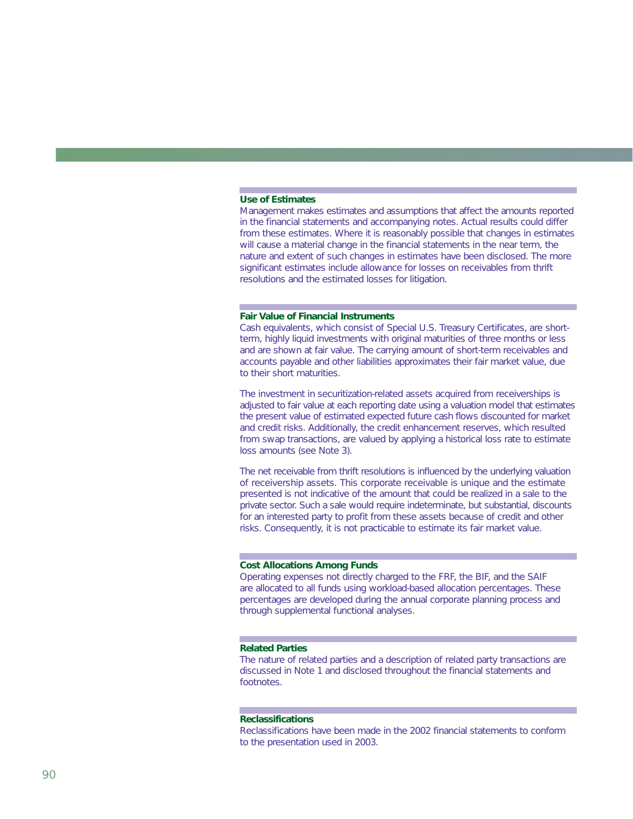### **Use of Estimates**

Management makes estimates and assumptions that affect the amounts reported in the financial statements and accompanying notes. Actual results could differ from these estimates. Where it is reasonably possible that changes in estimates will cause a material change in the financial statements in the near term, the nature and extent of such changes in estimates have been disclosed. The more significant estimates include allowance for losses on receivables from thrift resolutions and the estimated losses for litigation.

#### **Fair Value of Financial Instruments**

Cash equivalents, which consist of Special U.S. Treasury Certificates, are shortterm, highly liquid investments with original maturities of three months or less and are shown at fair value. The carrying amount of short-term receivables and accounts payable and other liabilities approximates their fair market value, due to their short maturities.

The investment in securitization-related assets acquired from receiverships is adjusted to fair value at each reporting date using a valuation model that estimates the present value of estimated expected future cash flows discounted for market and credit risks. Additionally, the credit enhancement reserves, which resulted from swap transactions, are valued by applying a historical loss rate to estimate loss amounts (see Note 3).

The net receivable from thrift resolutions is influenced by the underlying valuation of receivership assets. This corporate receivable is unique and the estimate presented is not indicative of the amount that could be realized in a sale to the private sector. Such a sale would require indeterminate, but substantial, discounts for an interested party to profit from these assets because of credit and other risks. Consequently, it is not practicable to estimate its fair market value.

### **Cost Allocations Among Funds**

Operating expenses not directly charged to the FRF, the BIF, and the SAIF are allocated to all funds using workload-based allocation percentages. These percentages are developed during the annual corporate planning process and through supplemental functional analyses.

### **Related Parties**

The nature of related parties and a description of related party transactions are discussed in Note 1 and disclosed throughout the financial statements and footnotes.

### **Reclassifications**

Reclassifications have been made in the 2002 financial statements to conform to the presentation used in 2003.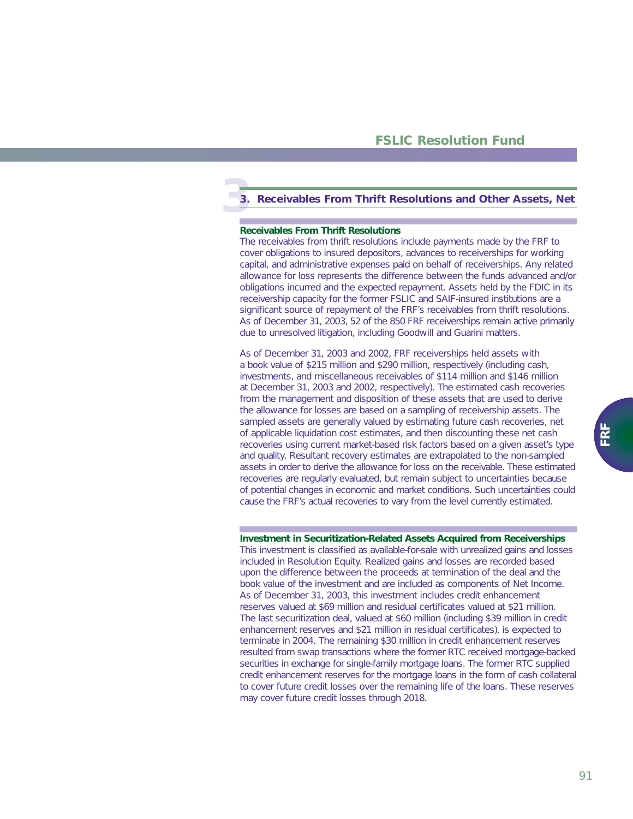# **3 3. Receivables From Thrift Resolutions and Other Assets, Net**

### **Receivables From Thrift Resolutions**

The receivables from thrift resolutions include payments made by the FRF to cover obligations to insured depositors, advances to receiverships for working capital, and administrative expenses paid on behalf of receiverships. Any related allowance for loss represents the difference between the funds advanced and/or obligations incurred and the expected repayment. Assets held by the FDIC in its receivership capacity for the former FSLIC and SAIF-insured institutions are a significant source of repayment of the FRF's receivables from thrift resolutions. As of December 31, 2003, 52 of the 850 FRF receiverships remain active primarily due to unresolved litigation, including Goodwill and Guarini matters.

As of December 31, 2003 and 2002, FRF receiverships held assets with a book value of \$215 million and \$290 million, respectively (including cash, investments, and miscellaneous receivables of \$114 million and \$146 million at December 31, 2003 and 2002, respectively). The estimated cash recoveries from the management and disposition of these assets that are used to derive the allowance for losses are based on a sampling of receivership assets. The sampled assets are generally valued by estimating future cash recoveries, net of applicable liquidation cost estimates, and then discounting these net cash recoveries using current market-based risk factors based on a given asset's type and quality. Resultant recovery estimates are extrapolated to the non-sampled assets in order to derive the allowance for loss on the receivable. These estimated recoveries are regularly evaluated, but remain subject to uncertainties because of potential changes in economic and market conditions. Such uncertainties could cause the FRF's actual recoveries to vary from the level currently estimated.

#### **Investment in Securitization-Related Assets Acquired from Receiverships**

This investment is classified as available-for-sale with unrealized gains and losses included in Resolution Equity. Realized gains and losses are recorded based upon the difference between the proceeds at termination of the deal and the book value of the investment and are included as components of Net Income. As of December 31, 2003, this investment includes credit enhancement reserves valued at \$69 million and residual certificates valued at \$21 million. The last securitization deal, valued at \$60 million (including \$39 million in credit enhancement reserves and \$21 million in residual certificates), is expected to terminate in 2004. The remaining \$30 million in credit enhancement reserves resulted from swap transactions where the former RTC received mortgage-backed securities in exchange for single-family mortgage loans. The former RTC supplied credit enhancement reserves for the mortgage loans in the form of cash collateral to cover future credit losses over the remaining life of the loans. These reserves may cover future credit losses through 2018.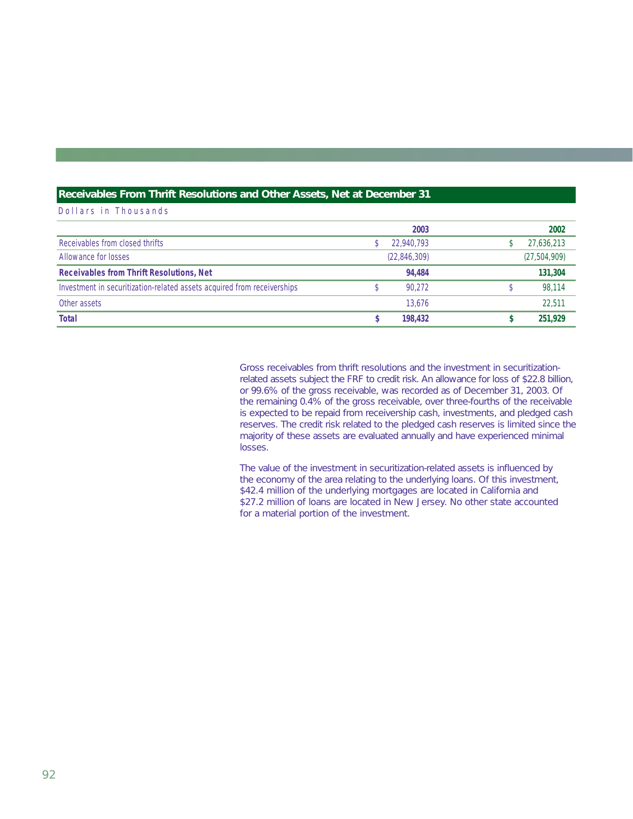### **Receivables From Thrift Resolutions and Other Assets, Net at December 31**

Dollars in Thousands

|                                                                         | 2003         | 2002           |
|-------------------------------------------------------------------------|--------------|----------------|
| Receivables from closed thrifts                                         | 22,940,793   | 27,636,213     |
| Allowance for losses                                                    | (22,846,309) | (27, 504, 909) |
| <b>Receivables from Thrift Resolutions, Net</b>                         | 94.484       | 131,304        |
| Investment in securitization-related assets acquired from receiverships | 90.272       | 98.114         |
| Other assets                                                            | 13.676       | 22.511         |
| <b>Total</b>                                                            | 198,432      | 251.929        |

Gross receivables from thrift resolutions and the investment in securitizationrelated assets subject the FRF to credit risk. An allowance for loss of \$22.8 billion, or 99.6% of the gross receivable, was recorded as of December 31, 2003. Of the remaining 0.4% of the gross receivable, over three-fourths of the receivable is expected to be repaid from receivership cash, investments, and pledged cash reserves. The credit risk related to the pledged cash reserves is limited since the majority of these assets are evaluated annually and have experienced minimal losses.

The value of the investment in securitization-related assets is influenced by the economy of the area relating to the underlying loans. Of this investment, \$42.4 million of the underlying mortgages are located in California and \$27.2 million of loans are located in New Jersey. No other state accounted for a material portion of the investment.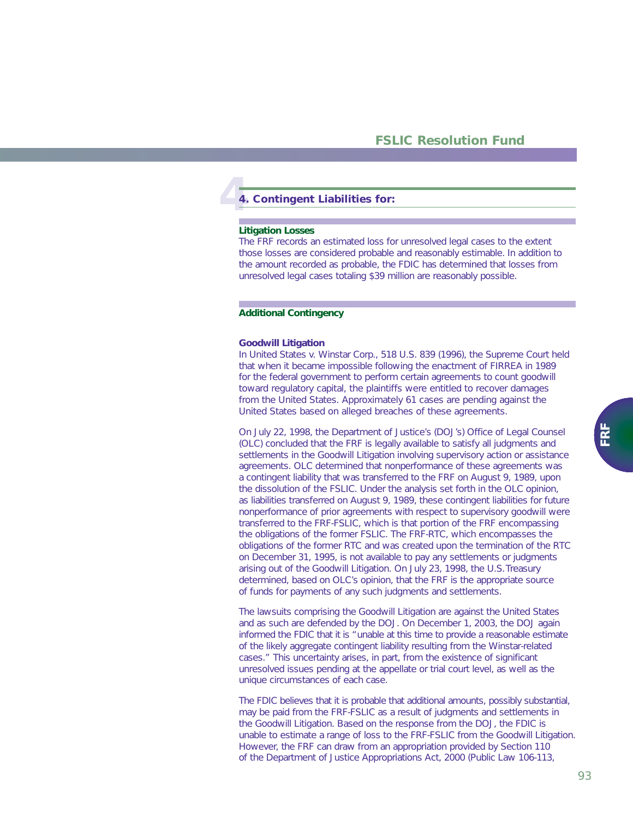# **4 4. Contingent Liabilities for:**

#### **Litigation Losses**

The FRF records an estimated loss for unresolved legal cases to the extent those losses are considered probable and reasonably estimable. In addition to the amount recorded as probable, the FDIC has determined that losses from unresolved legal cases totaling \$39 million are reasonably possible.

### **Additional Contingency**

#### *Goodwill Litigation*

In *United States v. Winstar Corp*., 518 U.S. 839 (1996), the Supreme Court held that when it became impossible following the enactment of FIRREA in 1989 for the federal government to perform certain agreements to count goodwill toward regulatory capital, the plaintiffs were entitled to recover damages from the United States. Approximately 61 cases are pending against the United States based on alleged breaches of these agreements.

On July 22, 1998, the Department of Justice's (DOJ's) Office of Legal Counsel (OLC) concluded that the FRF is legally available to satisfy all judgments and settlements in the Goodwill Litigation involving supervisory action or assistance agreements. OLC determined that nonperformance of these agreements was a contingent liability that was transferred to the FRF on August 9, 1989, upon the dissolution of the FSLIC. Under the analysis set forth in the OLC opinion, as liabilities transferred on August 9, 1989, these contingent liabilities for future nonperformance of prior agreements with respect to supervisory goodwill were transferred to the FRF-FSLIC, which is that portion of the FRF encompassing the obligations of the former FSLIC. The FRF-RTC, which encompasses the obligations of the former RTC and was created upon the termination of the RTC on December 31, 1995, is not available to pay any settlements or judgments arising out of the Goodwill Litigation. On July 23, 1998, the U.S.Treasury determined, based on OLC's opinion, that the FRF is the appropriate source of funds for payments of any such judgments and settlements.

The lawsuits comprising the Goodwill Litigation are against the United States and as such are defended by the DOJ. On December 1, 2003, the DOJ again informed the FDIC that it is "unable at this time to provide a reasonable estimate of the likely aggregate contingent liability resulting from the *Winstar*-related cases." This uncertainty arises, in part, from the existence of significant unresolved issues pending at the appellate or trial court level, as well as the unique circumstances of each case.

The FDIC believes that it is probable that additional amounts, possibly substantial, may be paid from the FRF-FSLIC as a result of judgments and settlements in the Goodwill Litigation. Based on the response from the DOJ, the FDIC is unable to estimate a range of loss to the FRF-FSLIC from the Goodwill Litigation. However, the FRF can draw from an appropriation provided by Section 110 of the Department of Justice Appropriations Act, 2000 (Public Law 106-113,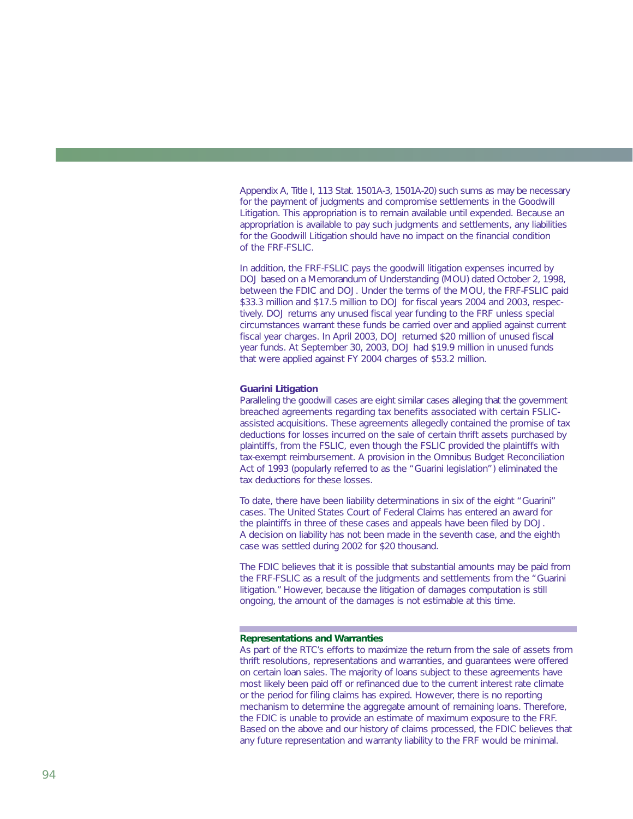Appendix A, Title I, 113 Stat. 1501A-3, 1501A-20) such sums as may be necessary for the payment of judgments and compromise settlements in the Goodwill Litigation. This appropriation is to remain available until expended. Because an appropriation is available to pay such judgments and settlements, any liabilities for the Goodwill Litigation should have no impact on the financial condition of the FRF-FSLIC.

In addition, the FRF-FSLIC pays the goodwill litigation expenses incurred by DOJ based on a Memorandum of Understanding (MOU) dated October 2, 1998, between the FDIC and DOJ. Under the terms of the MOU, the FRF-FSLIC paid \$33.3 million and \$17.5 million to DOJ for fiscal years 2004 and 2003, respectively. DOJ returns any unused fiscal year funding to the FRF unless special circumstances warrant these funds be carried over and applied against current fiscal year charges. In April 2003, DOJ returned \$20 million of unused fiscal year funds. At September 30, 2003, DOJ had \$19.9 million in unused funds that were applied against FY 2004 charges of \$53.2 million.

#### *Guarini Litigation*

Paralleling the goodwill cases are eight similar cases alleging that the government breached agreements regarding tax benefits associated with certain FSLICassisted acquisitions. These agreements allegedly contained the promise of tax deductions for losses incurred on the sale of certain thrift assets purchased by plaintiffs, from the FSLIC, even though the FSLIC provided the plaintiffs with tax-exempt reimbursement. A provision in the Omnibus Budget Reconciliation Act of 1993 (popularly referred to as the "Guarini legislation") eliminated the tax deductions for these losses.

To date, there have been liability determinations in six of the eight "Guarini" cases. The United States Court of Federal Claims has entered an award for the plaintiffs in three of these cases and appeals have been filed by DOJ. A decision on liability has not been made in the seventh case, and the eighth case was settled during 2002 for \$20 thousand.

The FDIC believes that it is possible that substantial amounts may be paid from the FRF-FSLIC as a result of the judgments and settlements from the "Guarini litigation."However, because the litigation of damages computation is still ongoing, the amount of the damages is not estimable at this time.

### **Representations and Warranties**

As part of the RTC's efforts to maximize the return from the sale of assets from thrift resolutions, representations and warranties, and guarantees were offered on certain loan sales. The majority of loans subject to these agreements have most likely been paid off or refinanced due to the current interest rate climate or the period for filing claims has expired. However, there is no reporting mechanism to determine the aggregate amount of remaining loans. Therefore, the FDIC is unable to provide an estimate of maximum exposure to the FRF. Based on the above and our history of claims processed, the FDIC believes that any future representation and warranty liability to the FRF would be minimal.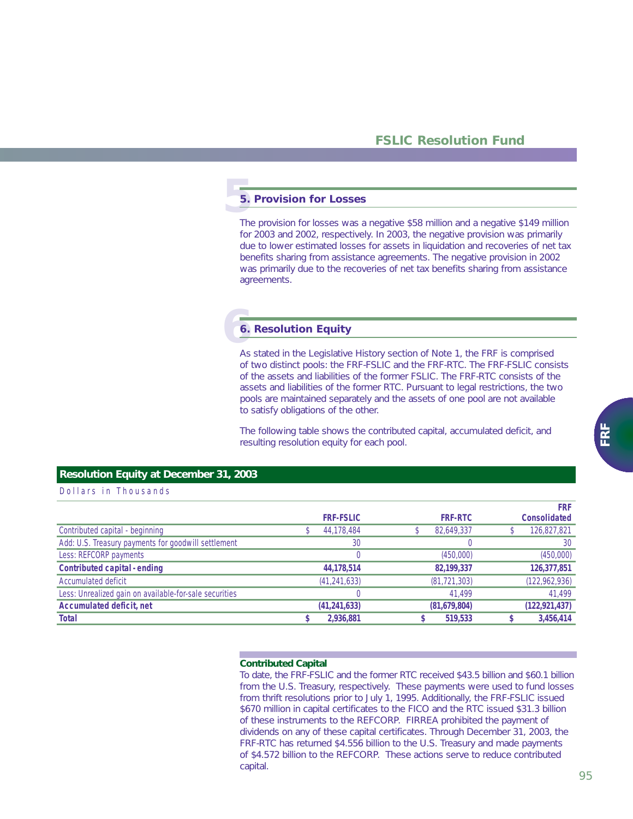# **5**. **5. Provision for Losses**

The provision for losses was a negative \$58 million and a negative \$149 million for 2003 and 2002, respectively. In 2003, the negative provision was primarily due to lower estimated losses for assets in liquidation and recoveries of net tax benefits sharing from assistance agreements. The negative provision in 2002 was primarily due to the recoveries of net tax benefits sharing from assistance agreements.

# **6 6. Resolution Equity**

As stated in the Legislative History section of Note 1, the FRF is comprised of two distinct pools: the FRF-FSLIC and the FRF-RTC. The FRF-FSLIC consists of the assets and liabilities of the former FSLIC. The FRF-RTC consists of the assets and liabilities of the former RTC. Pursuant to legal restrictions, the two pools are maintained separately and the assets of one pool are not available to satisfy obligations of the other.

The following table shows the contributed capital, accumulated deficit, and resulting resolution equity for each pool.

### **Resolution Equity at December 31, 2003**

### Dollars in Thousands

|                                                        |                  |                | <b>FRF</b>          |
|--------------------------------------------------------|------------------|----------------|---------------------|
|                                                        | <b>FRF-FSLIC</b> | <b>FRF-RTC</b> | <b>Consolidated</b> |
| Contributed capital - beginning                        | 44,178,484       | 82,649,337     | 126,827,821         |
| Add: U.S. Treasury payments for goodwill settlement    | 30               |                | 30                  |
| Less: REFCORP payments                                 |                  | (450,000)      | (450,000)           |
| <b>Contributed capital - ending</b>                    | 44,178,514       | 82,199,337     | 126,377,851         |
| Accumulated deficit                                    | (41, 241, 633)   | (81, 721, 303) | (122, 962, 936)     |
| Less: Unrealized gain on available-for-sale securities |                  | 41,499         | 41,499              |
| <b>Accumulated deficit, net</b>                        | (41, 241, 633)   | (81,679,804)   | (122, 921, 437)     |
| <b>Total</b>                                           | 2,936,881        | 519,533        | 3,456,414           |

### **Contributed Capital**

To date, the FRF-FSLIC and the former RTC received \$43.5 billion and \$60.1 billion from the U.S. Treasury, respectively. These payments were used to fund losses from thrift resolutions prior to July 1, 1995. Additionally, the FRF-FSLIC issued \$670 million in capital certificates to the FICO and the RTC issued \$31.3 billion of these instruments to the REFCORP. FIRREA prohibited the payment of dividends on any of these capital certificates. Through December 31, 2003, the FRF-RTC has returned \$4.556 billion to the U.S. Treasury and made payments of \$4.572 billion to the REFCORP. These actions serve to reduce contributed capital.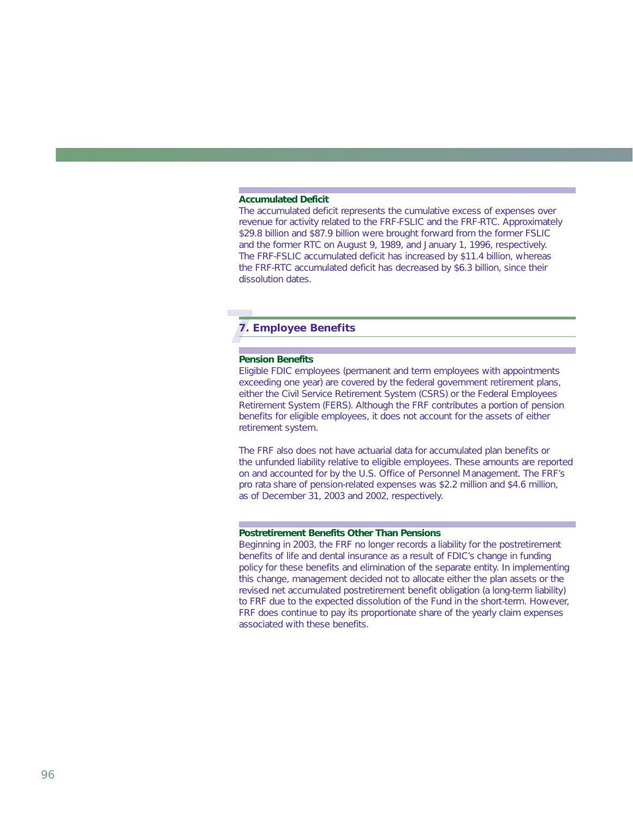### **Accumulated Deficit**

The accumulated deficit represents the cumulative excess of expenses over revenue for activity related to the FRF-FSLIC and the FRF-RTC. Approximately \$29.8 billion and \$87.9 billion were brought forward from the former FSLIC and the former RTC on August 9, 1989, and January 1, 1996, respectively. The FRF-FSLIC accumulated deficit has increased by \$11.4 billion, whereas the FRF-RTC accumulated deficit has decreased by \$6.3 billion, since their dissolution dates.

# **7 7. Employee Benefits**

### **Pension Benefits**

Eligible FDIC employees (permanent and term employees with appointments exceeding one year) are covered by the federal government retirement plans, either the Civil Service Retirement System (CSRS) or the Federal Employees Retirement System (FERS). Although the FRF contributes a portion of pension benefits for eligible employees, it does not account for the assets of either retirement system.

The FRF also does not have actuarial data for accumulated plan benefits or the unfunded liability relative to eligible employees. These amounts are reported on and accounted for by the U.S. Office of Personnel Management. The FRF's pro rata share of pension-related expenses was \$2.2 million and \$4.6 million, as of December 31, 2003 and 2002, respectively.

### **Postretirement Benefits Other Than Pensions**

Beginning in 2003, the FRF no longer records a liability for the postretirement benefits of life and dental insurance as a result of FDIC's change in funding policy for these benefits and elimination of the separate entity. In implementing this change, management decided not to allocate either the plan assets or the revised net accumulated postretirement benefit obligation (a long-term liability) to FRF due to the expected dissolution of the Fund in the short-term. However, FRF does continue to pay its proportionate share of the yearly claim expenses associated with these benefits.